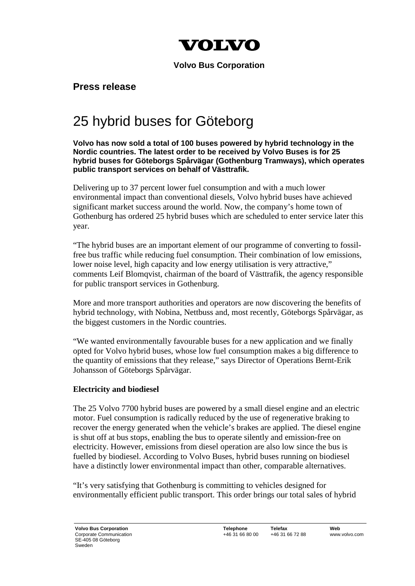

**Volvo Bus Corporation**

**Press release**

## 25 hybrid buses for Göteborg

## **Volvo has now sold a total of 100 buses powered by hybrid technology in the Nordic countries. The latest order to be received by Volvo Buses is for 25 hybrid buses for Göteborgs Spårvägar (Gothenburg Tramways), which operates public transport services on behalf of Västtrafik.**

Delivering up to 37 percent lower fuel consumption and with a much lower environmental impact than conventional diesels, Volvo hybrid buses have achieved significant market success around the world. Now, the company's home town of Gothenburg has ordered 25 hybrid buses which are scheduled to enter service later this year.

"The hybrid buses are an important element of our programme of converting to fossilfree bus traffic while reducing fuel consumption. Their combination of low emissions, lower noise level, high capacity and low energy utilisation is very attractive," comments Leif Blomqvist, chairman of the board of Västtrafik, the agency responsible for public transport services in Gothenburg.

More and more transport authorities and operators are now discovering the benefits of hybrid technology, with Nobina, Nettbuss and, most recently, Göteborgs Spårvägar, as the biggest customers in the Nordic countries.

"We wanted environmentally favourable buses for a new application and we finally opted for Volvo hybrid buses, whose low fuel consumption makes a big difference to the quantity of emissions that they release," says Director of Operations Bernt-Erik Johansson of Göteborgs Spårvägar.

## **Electricity and biodiesel**

The 25 Volvo 7700 hybrid buses are powered by a small diesel engine and an electric motor. Fuel consumption is radically reduced by the use of regenerative braking to recover the energy generated when the vehicle's brakes are applied. The diesel engine is shut off at bus stops, enabling the bus to operate silently and emission-free on electricity. However, emissions from diesel operation are also low since the bus is fuelled by biodiesel. According to Volvo Buses, hybrid buses running on biodiesel have a distinctly lower environmental impact than other, comparable alternatives.

"It's very satisfying that Gothenburg is committing to vehicles designed for environmentally efficient public transport. This order brings our total sales of hybrid